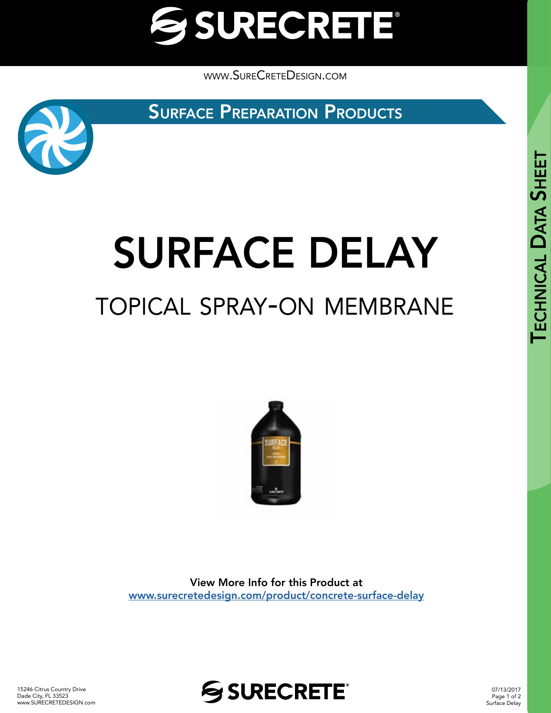

[www.SureCreteDesign.com](http://www.surecretedesign.com)

**SURFACE PREPARATION PRODUCTS** 



# SURFACE DELAY topical spray-on membrane



View More Info for this Product at [www.surecretedesign.com/product/concrete-surface-delay](https://www.surecretedesign.com/product/concrete-surface-delay/) **SHEET** 



07/13/2017 Page 1 of 2 Surface Delay